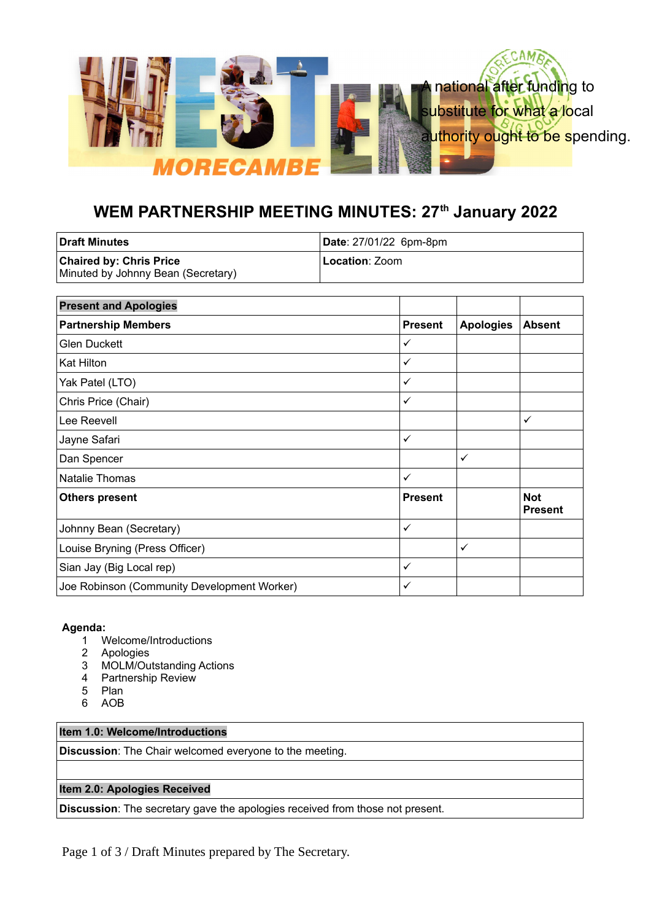

# **WEM PARTNERSHIP MEETING MINUTES: 27th January 2022**

| ∣Draft Minutes                                                       | Date: 27/01/22 6pm-8pm  |
|----------------------------------------------------------------------|-------------------------|
| <b>Chaired by: Chris Price</b><br>Minuted by Johnny Bean (Secretary) | L <b>ocation</b> : Zoom |

| <b>Present and Apologies</b>                |                |                  |                              |
|---------------------------------------------|----------------|------------------|------------------------------|
| <b>Partnership Members</b>                  | <b>Present</b> | <b>Apologies</b> | <b>Absent</b>                |
| <b>Glen Duckett</b>                         | ✓              |                  |                              |
| Kat Hilton                                  | ✓              |                  |                              |
| Yak Patel (LTO)                             | ✓              |                  |                              |
| Chris Price (Chair)                         | ✓              |                  |                              |
| Lee Reevell                                 |                |                  | ✓                            |
| Jayne Safari                                | $\checkmark$   |                  |                              |
| Dan Spencer                                 |                | $\checkmark$     |                              |
| <b>Natalie Thomas</b>                       | ✓              |                  |                              |
| <b>Others present</b>                       | <b>Present</b> |                  | <b>Not</b><br><b>Present</b> |
| Johnny Bean (Secretary)                     | ✓              |                  |                              |
| Louise Bryning (Press Officer)              |                | $\checkmark$     |                              |
| Sian Jay (Big Local rep)                    | ✓              |                  |                              |
| Joe Robinson (Community Development Worker) | ✓              |                  |                              |

#### **Agenda:**

- 1 Welcome/Introductions
- 2 Apologies
- 3 MOLM/Outstanding Actions
- 4 Partnership Review
- 5 Plan
- 6 AOB

## **Item 1.0: Welcome/Introductions**

**Discussion**: The Chair welcomed everyone to the meeting.

## **Item 2.0: Apologies Received**

**Discussion**: The secretary gave the apologies received from those not present.

Page 1 of 3 / Draft Minutes prepared by The Secretary.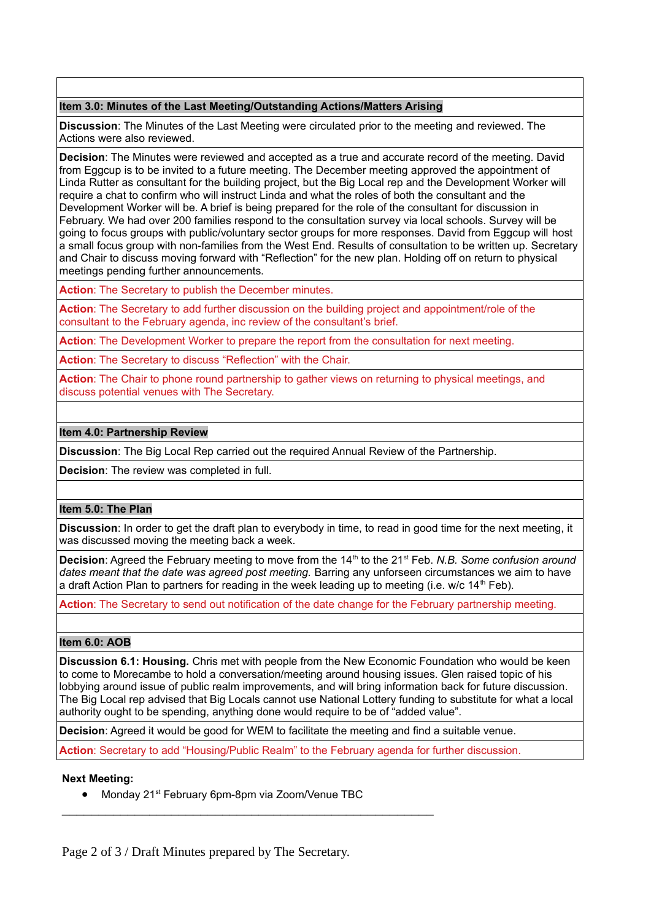#### **Item 3.0: Minutes of the Last Meeting/Outstanding Actions/Matters Arising**

**Discussion**: The Minutes of the Last Meeting were circulated prior to the meeting and reviewed. The Actions were also reviewed.

**Decision**: The Minutes were reviewed and accepted as a true and accurate record of the meeting. David from Eggcup is to be invited to a future meeting. The December meeting approved the appointment of Linda Rutter as consultant for the building project, but the Big Local rep and the Development Worker will require a chat to confirm who will instruct Linda and what the roles of both the consultant and the Development Worker will be. A brief is being prepared for the role of the consultant for discussion in February. We had over 200 families respond to the consultation survey via local schools. Survey will be going to focus groups with public/voluntary sector groups for more responses. David from Eggcup will host a small focus group with non-families from the West End. Results of consultation to be written up. Secretary and Chair to discuss moving forward with "Reflection" for the new plan. Holding off on return to physical meetings pending further announcements.

**Action**: The Secretary to publish the December minutes.

**Action**: The Secretary to add further discussion on the building project and appointment/role of the consultant to the February agenda, inc review of the consultant's brief.

**Action**: The Development Worker to prepare the report from the consultation for next meeting.

**Action**: The Secretary to discuss "Reflection" with the Chair.

**Action**: The Chair to phone round partnership to gather views on returning to physical meetings, and discuss potential venues with The Secretary.

## **Item 4.0: Partnership Review**

**Discussion**: The Big Local Rep carried out the required Annual Review of the Partnership.

**Decision**: The review was completed in full.

## **Item 5.0: The Plan**

**Discussion**: In order to get the draft plan to everybody in time, to read in good time for the next meeting, it was discussed moving the meeting back a week.

**Decision:** Agreed the February meeting to move from the 14<sup>th</sup> to the 21<sup>st</sup> Feb. *N.B. Some confusion around* dates meant that the date was agreed post meeting. Barring any unforseen circumstances we aim to have a draft Action Plan to partners for reading in the week leading up to meeting (i.e. w/c  $14<sup>th</sup>$  Feb).

**Action**: The Secretary to send out notification of the date change for the February partnership meeting.

## **Item 6.0: AOB**

**Discussion 6.1: Housing.** Chris met with people from the New Economic Foundation who would be keen to come to Morecambe to hold a conversation/meeting around housing issues. Glen raised topic of his lobbying around issue of public realm improvements, and will bring information back for future discussion. The Big Local rep advised that Big Locals cannot use National Lottery funding to substitute for what a local authority ought to be spending, anything done would require to be of "added value".

**Decision**: Agreed it would be good for WEM to facilitate the meeting and find a suitable venue.

**Action**: Secretary to add "Housing/Public Realm" to the February agenda for further discussion.

#### **Next Meeting:**

• Monday 21<sup>st</sup> February 6pm-8pm via Zoom/Venue TBC

 $\mathcal{L}_\text{max}$  , and the contract of the contract of the contract of the contract of the contract of the contract of the contract of the contract of the contract of the contract of the contract of the contract of the contr

Page 2 of 3 / Draft Minutes prepared by The Secretary.